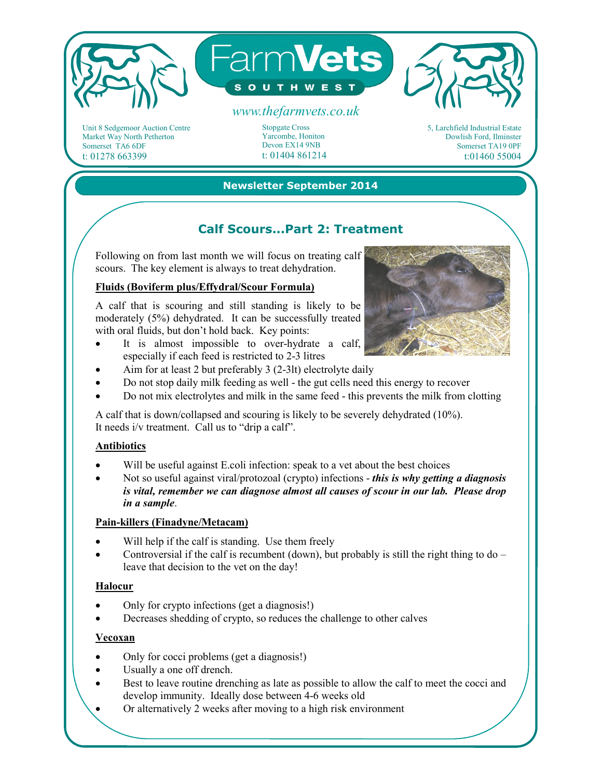

Unit 8 Sedgemoor Auction Centre Market Way North Petherton Somerset TA6 6DF t: 01278 663399

Stopgate Cross Yarcombe, Honiton Devon EX14 9NB t: 01404 861214

5, Larchfield Industrial Estate Dowlish Ford, Ilminster Somerset TA19 0PF t:01460 55004

#### **Newsletter September 2014**

# **Calf Scours...Part 2: Treatment**

Following on from last month we will focus on treating calf scours. The key element is always to treat dehydration.

## **Fluids (Boviferm plus/Effydral/Scour Formula)**

A calf that is scouring and still standing is likely to be moderately (5%) dehydrated. It can be successfully treated with oral fluids, but don't hold back. Key points:

- It is almost impossible to over-hydrate a calf, especially if each feed is restricted to 2-3 litres
- Aim for at least 2 but preferably 3 (2-3lt) electrolyte daily
- Do not stop daily milk feeding as well the gut cells need this energy to recover
- Do not mix electrolytes and milk in the same feed this prevents the milk from clotting

A calf that is down/collapsed and scouring is likely to be severely dehydrated (10%). It needs i/v treatment. Call us to "drip a calf".

### **Antibiotics**

- Will be useful against E.coli infection: speak to a vet about the best choices
- Not so useful against viral/protozoal (crypto) infections *this is why getting a diagnosis is vital, remember we can diagnose almost all causes of scour in our lab. Please drop in a sample*.

### **Pain-killers (Finadyne/Metacam)**

- Will help if the calf is standing. Use them freely
- Controversial if the calf is recumbent (down), but probably is still the right thing to do leave that decision to the vet on the day!

### **Halocur**

- Only for crypto infections (get a diagnosis!)
- Decreases shedding of crypto, so reduces the challenge to other calves

#### **Vecoxan**

- Only for cocci problems (get a diagnosis!)
- Usually a one off drench.
- Best to leave routine drenching as late as possible to allow the calf to meet the cocci and develop immunity. Ideally dose between 4-6 weeks old
	- Or alternatively 2 weeks after moving to a high risk environment